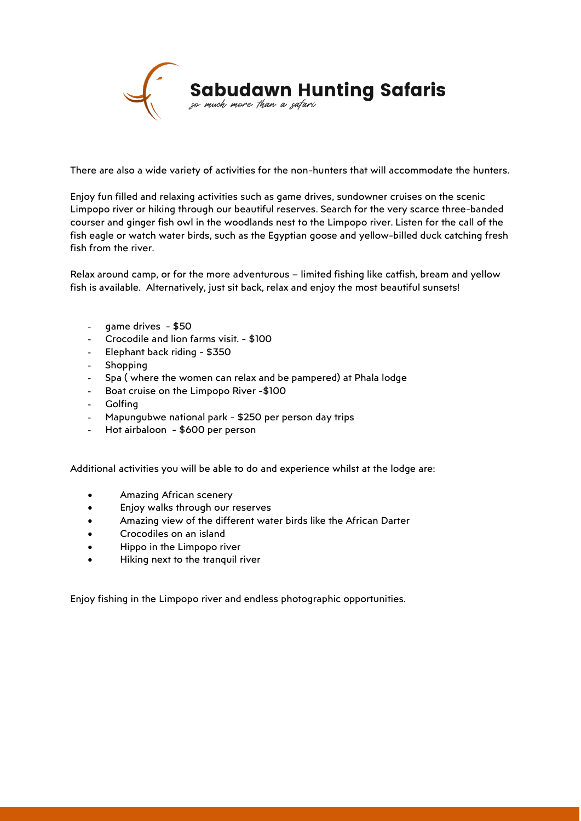

There are also a wide variety of activities for the non-hunters that will accommodate the hunters.

Enjoy fun filled and relaxing activities such as game drives, sundowner cruises on the scenic Limpopo river or hiking through our beautiful reserves. Search for the very scarce three-banded courser and ginger fish owl in the woodlands nest to the Limpopo river. Listen for the call of the fish eagle or watch water birds, such as the Egyptian goose and yellow-billed duck catching fresh fish from the river.

Relax around camp, or for the more adventurous – limited fishing like catfish, bream and yellow fish is available. Alternatively, just sit back, relax and enjoy the most beautiful sunsets!

- game drives \$50
- Crocodile and lion farms visit. \$100
- Elephant back riding \$350
- **Shopping**
- Spa ( where the women can relax and be pampered) at Phala lodge
- Boat cruise on the Limpopo River -\$100
- **Golfing**
- Mapungubwe national park \$250 per person day trips
- Hot airbaloon \$600 per person

Additional activities you will be able to do and experience whilst at the lodge are:

- Amazing African scenery
- Enjoy walks through our reserves
- Amazing view of the different water birds like the African Darter
- Crocodiles on an island
- Hippo in the Limpopo river
- Hiking next to the tranquil river

Enjoy fishing in the Limpopo river and endless photographic opportunities.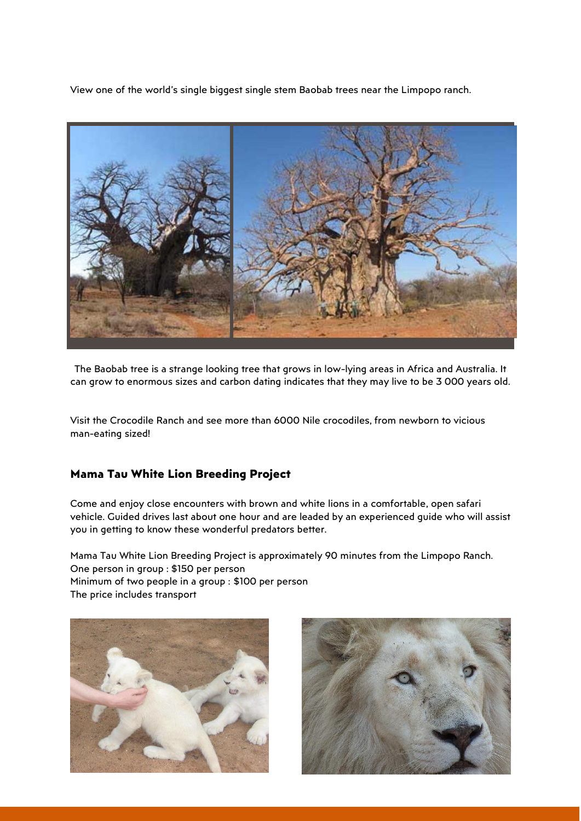View one of the world's single biggest single stem Baobab trees near the Limpopo ranch.



The Baobab tree is a strange looking tree that grows in low-lying areas in Africa and Australia. It can grow to enormous sizes and carbon dating indicates that they may live to be 3 000 years old.

Visit the Crocodile Ranch and see more than 6000 Nile crocodiles, from newborn to vicious man-eating sized!

## **Mama Tau White Lion Breeding Project**

Come and enjoy close encounters with brown and white lions in a comfortable, open safari vehicle. Guided drives last about one hour and are leaded by an experienced guide who will assist you in getting to know these wonderful predators better.

Mama Tau White Lion Breeding Project is approximately 90 minutes from the Limpopo Ranch. One person in group : \$150 per person Minimum of two people in a group : \$100 per person The price includes transport